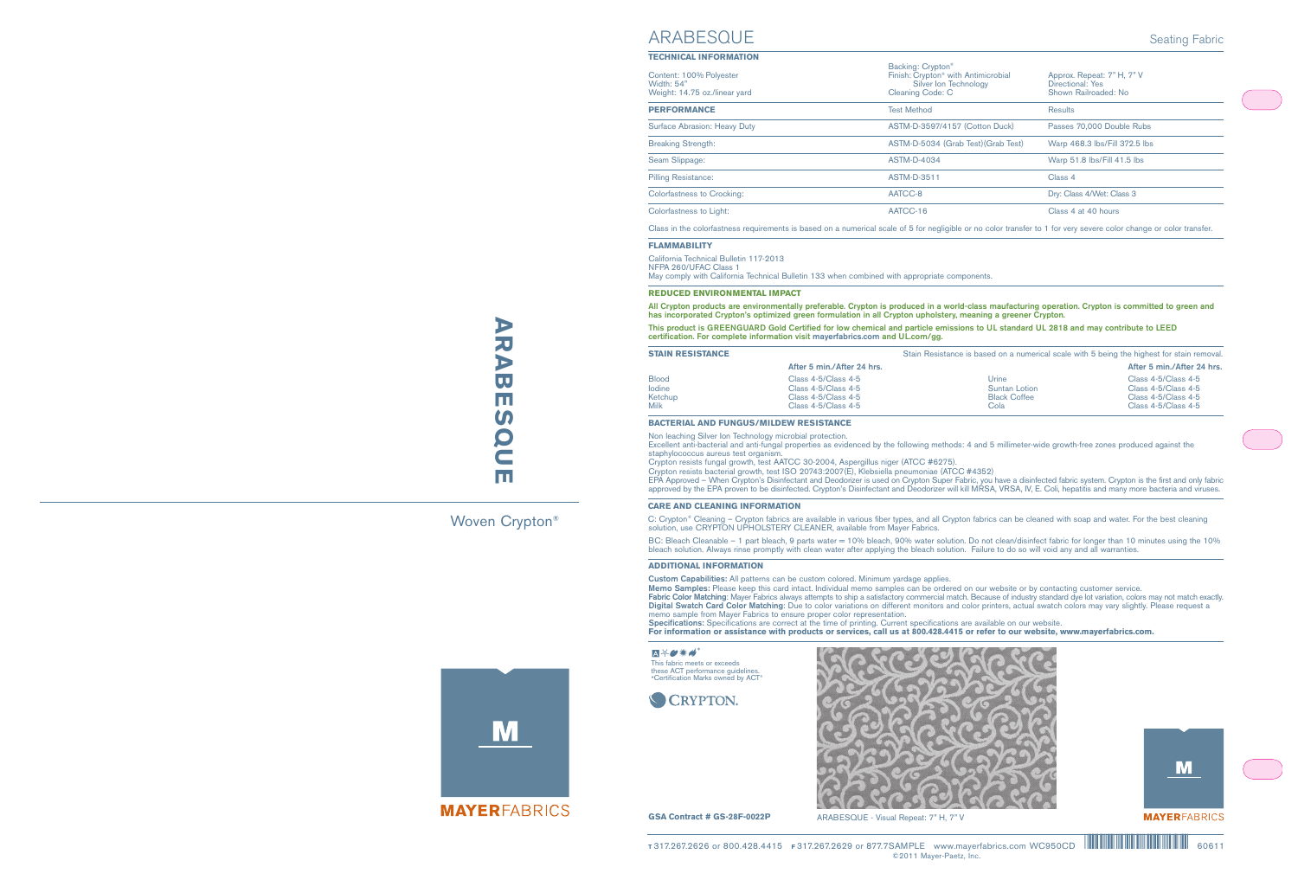# ARABESQUE **ARABESQUE**

Woven Crypton®

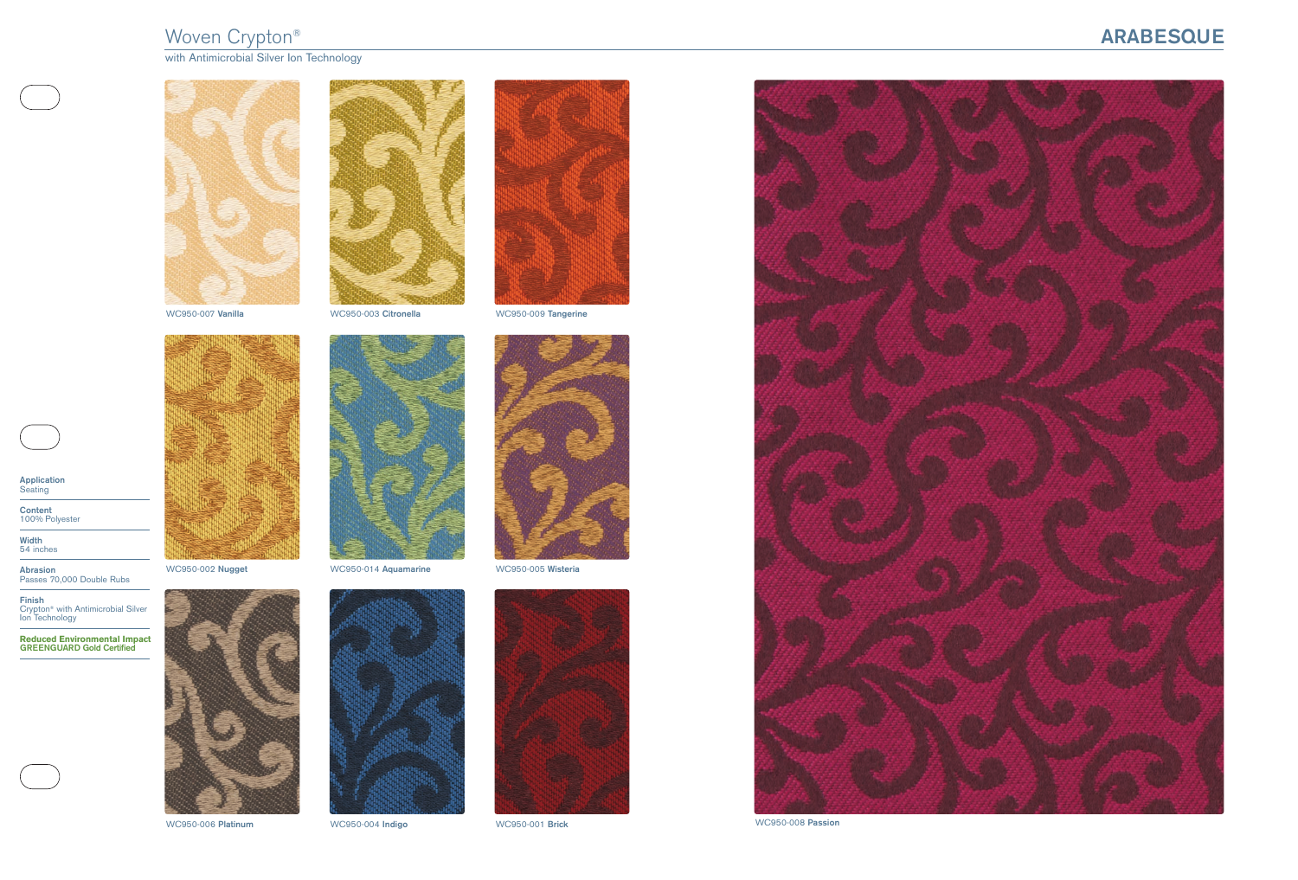## woven Crypton® **ARABESQUEE**

with Antimicrobial Silver Ion Technology **Show Research Research Research Research Research** 







WC950-007 **Vanilla** WC950-003 **Citronella** WC950-009 **Tangerine**









WC950-006 **Platinum** WC950-004 **Indigo** WC950-001 **Brick**











**Application Seating** 

**Content** 100% Polyester

**Width** 54 inches

**Abrasion** Passes 70,000 Double Rubs

**Finish** Crypton® with Antimicrobial Silver Ion Technology

**Reduced Environmental Impact GREENGUARD Gold Certified**

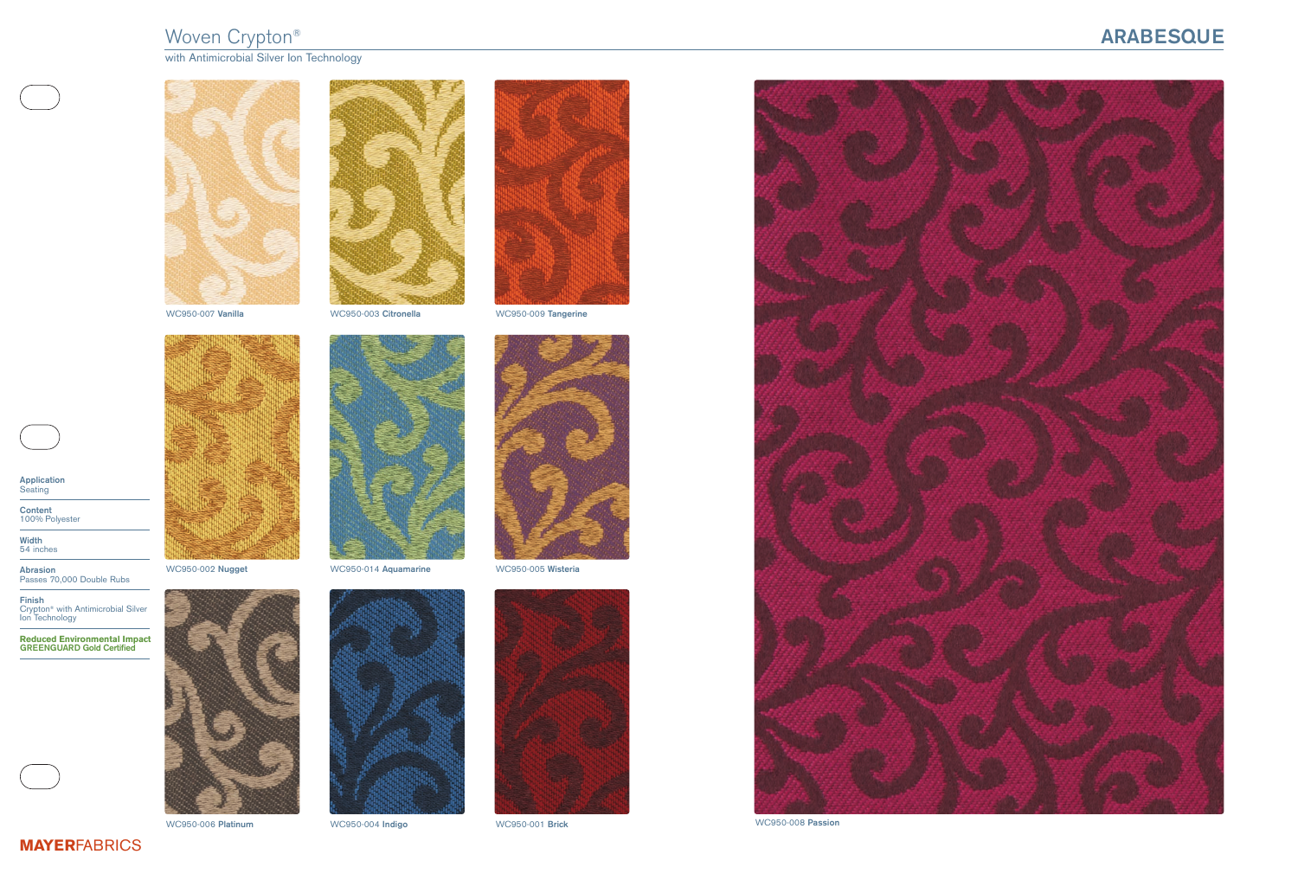## **ARABESQUE**



WC950-008 **Passion**